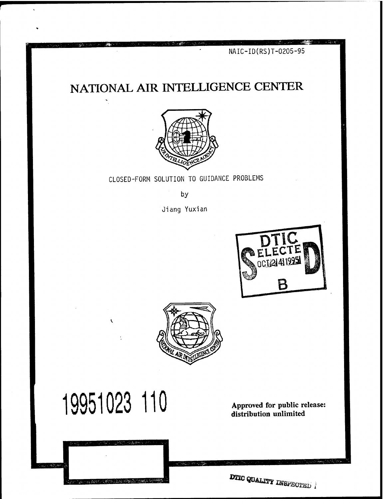NAIC-ID(RS)T-0205-95

# NATIONAL AIR INTELLIGENCE CENTER



CLOSED-FORM SOLUTION TO GUIDANCE PROBLEMS

by

Jiang Yuxian





# 19951023 110

 $\overline{\mathbf{r}}$ 

Approved for public release: distribution unlimited

DTIC QUALITY INSPECTED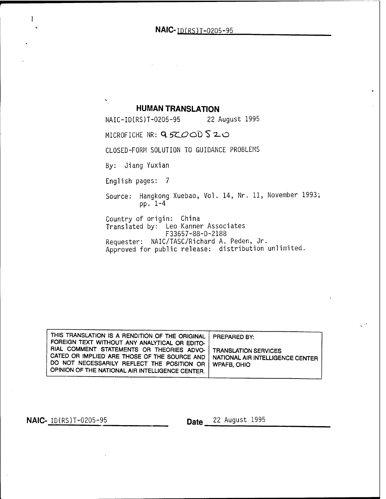**NAIC-** TD(RS)T-0205-95

**HUMAN TRANSLATION**<br>RS)T-0205-95 22 August 1995 NAIC-ID(RS)T-0205-95

MICROFICHE NR: 95COODS20

CLOSED-FORM SOLUTION TO GUIDANCE PROBLEMS

By: Jiang Yuxian

 $\hat{\mathbf{v}}_1$ 

English pages: <sup>7</sup>

Source: Hangkong Xuebao, Vol. 14, Nr. 11, November 1993; pp. 1-4

Country of origin: China Translated by: Leo Kanner Associates F33657-88-D-2188 Requester: NAIC/TASC/Richard A. Peden, Jr. Approved for public release: distribution unlimited.

| THIS TRANSLATION IS A RENDITION OF THE ORIGINAL<br>FOREIGN TEXT WITHOUT ANY ANALYTICAL OR EDITO-                                                                                                           | <b>PREPARED BY:</b>                                      |
|------------------------------------------------------------------------------------------------------------------------------------------------------------------------------------------------------------|----------------------------------------------------------|
| RIAL COMMENT STATEMENTS OR THEORIES ADVO-  <br>CATED OR IMPLIED ARE THOSE OF THE SOURCE AND<br>DO NOT NECESSARILY REFLECT THE POSITION OR   WPAFB OHIO<br>OPINION OF THE NATIONAL AIR INTELLIGENCE CENTER. | TRANSLATION SERVICES<br>NATIONAL AIR INTELLIGENCE CENTER |

 $\mathbf{1}$ 

**NAIC-** <u>ID(RS)T-0205-95</u> \_\_\_\_\_\_\_\_\_\_ \_\_\_\_ Date 22 August 1995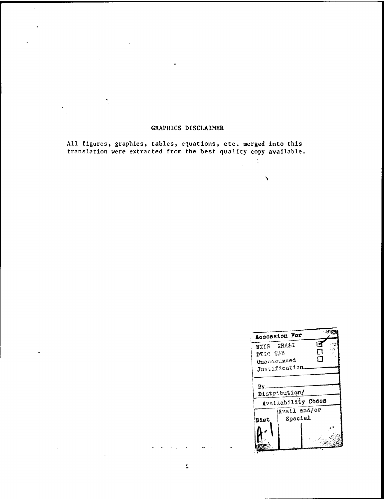#### GRAPHICS DISCLAIMER

 $\hat{\mathbf{v}}$ 

All figures, graphics, tables, equations, etc. merged into this translation were extracted from the best quality copy available,

 $\ddot{\phantom{a}}$ 

 $\pmb{\lambda}$ 

|                       | Accession For      |   |  |
|-----------------------|--------------------|---|--|
| <b>NTIS GRA&amp;I</b> |                    |   |  |
| DTIC TAB              |                    | ٦ |  |
| Unangouxced           |                    | □ |  |
|                       | Justification      |   |  |
|                       |                    |   |  |
| Bv.                   |                    |   |  |
|                       | Distribution/      |   |  |
|                       | Availability Codes |   |  |
|                       | Avail and/or       |   |  |
| Diat                  | Special            |   |  |
|                       |                    |   |  |
|                       |                    |   |  |
|                       |                    |   |  |
|                       |                    |   |  |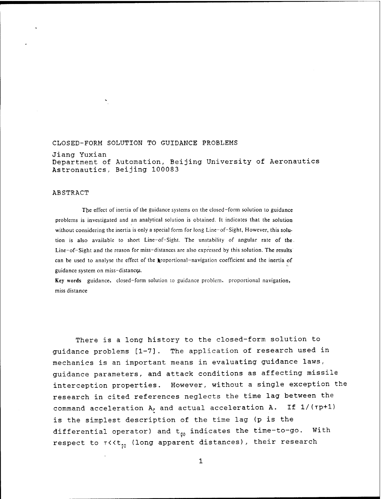### CLOSED-FORM SOLUTION TO GUIDANCE PROBLEMS Jiang Yuxian

Department of Automation, Beijing University of Aeronautics Astronautics, Beijing 100083

#### ABSTRACT

The effect of inertia of the guidance systems on the closed-form solution to guidance problems is investigated and an analytical solution is obtained. It indicates that the solution without considering the inertia is only a special form for long Line-of-Sight, However, this solution is also available to short Line-of-Sight. The unstability of angular rate of the. Line-of-Sight and the reason for miss-distances are also expressed by this solution. The results can be used to analyse the effect of the proportional-navigation coefficient and the inertia of guidance system on miss-distance^.

Key words guidance, closed-form solution to guidance problem, proportional navigation, miss distance

There is a long history to the closed-form solution to guidance problems [1-7]. The application of research used in mechanics is an important means in evaluating guidance laws, guidance parameters, and attack conditions as affecting missile interception properties. However, without a single exception the research in cited references neglects the time lag between the command acceleration *k<sup>r</sup>* and actual acceleration A. If l/(rp+l) is the simplest description of the time lag (p is the differential operator) and  $t_{q0}$  indicates the time-to-go. With respect to  $\tau$ <<t<sub>10</sub> (long apparent distances), their research

1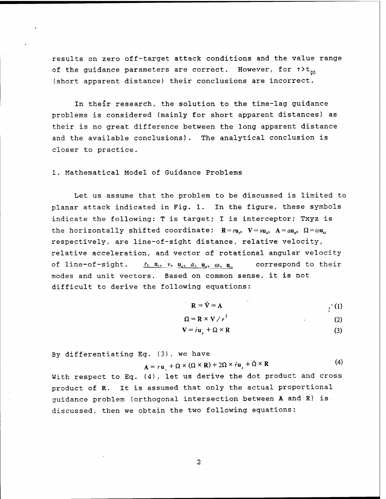results on zero off-target attack conditions and the value range of the guidance parameters are correct. However, for  $\tau > t_{\sigma 0}$ (short apparent distance) their conclusions are incorrect.

In their research, the solution to the time-lag guidance problems is considered (mainly for short apparent distances) as their is no great difference between the long apparent distance and the available conclusions). The analytical conclusion is closer to practice.

1. Mathematical Model of Guidance Problems

Let us assume that the problem to be discussed is limited to planar attack indicated in Fig. 1. In the figure, these symbols indicate the following: T is target; I is interceptor; Txyz is the horizontally shifted coordinate;  $R = ru$ ,  $V = vu$ ,  $A = au$ ,  $\Omega = \omega u$ <sub>a</sub> respectively, are line-of-sight distance, relative velocity, relative acceleration, and vector of rotational angular velocity of line-of-sight.  $r_1, u_1, v_2, u_2, u_3, w_3, u_4$  correspond to their modes and unit vectors. Based on common sense, it is not difficult to derive the following equations:

$$
\mathbf{R} = \dot{\mathbf{V}} = \mathbf{A} \tag{1}
$$

*}*

$$
\Omega = \mathbf{R} \times \mathbf{V} / r^2 \tag{2}
$$

$$
\mathbf{V} = \dot{r}\mathbf{u}_r + \Omega \times \mathbf{R} \tag{3}
$$

By differentiating Eq. (3), we have

$$
\mathbf{A} = r\mathbf{u} + \Omega \times (\Omega \times \mathbf{R}) + 2\Omega \times r\mathbf{u} + \Omega \times \mathbf{R}
$$
 (4)

With respect to Eq. (4), let us derive the dot product and cross product of R. It is assumed that only the actual proportional guidance problem (orthogonal intersection between A and R) is discussed, then we obtain the two following equations:

 $\overline{2}$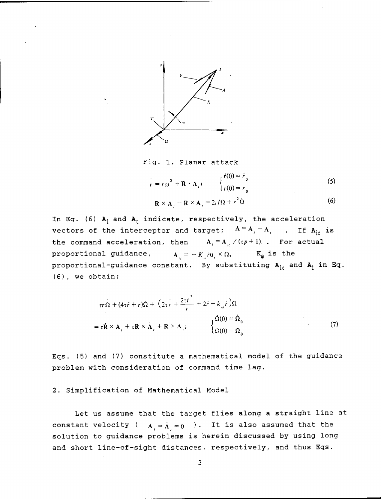

Fig. 1. Planar attack

$$
r = r\omega^{2} + \mathbf{R} \cdot \mathbf{A}_{i}; \qquad \begin{cases} \dot{r}(0) = \dot{r}_{0} \\ r(0) = r_{0} \end{cases}
$$
 (5)

$$
\mathbf{R} \times \mathbf{A}_i - \mathbf{R} \times \mathbf{A}_i = 2r\dot{r}\Omega + r^2\dot{\Omega}
$$
 (6)

In Eq. (6)  $A_i$  and  $A_t$  indicate, respectively, the acceleration vectors of the interceptor and target;  $A = A_i - A_i$ . If  $A_{ic}$  is the command acceleration, then  $A_i = A_{i} / (r p + 1)$ . For actual proportional guidance,  $A_{ic} = -K_{ac}r\mathbf{u}_r \times \Omega$ ,  $K_{a}$  is the proportional-guidance constant. By substituting  $A_{ic}$  and  $A_i$  in Eq. (6), we obtain:

$$
\tau r \Omega + (4\tau \dot{r} + r) \dot{\Omega} + (2\tau \dot{r} + \frac{2\tau \dot{r}^2}{r} + 2\dot{r} - k_{\omega} \dot{r}) \Omega
$$
  
=  $\tau \dot{\mathbf{R}} \times \mathbf{A}_1 + \tau \mathbf{R} \times \dot{\mathbf{A}}_1 + \mathbf{R} \times \mathbf{A}_2;$  (7)

Eqs. (5) and (7) constitute a mathematical model of the guidance problem with consideration of command time lag.

2. Simplification of Mathematical Model

Let us assume that the target flies along a straight line at constant velocity ( $A_i = \dot{A}_i = 0$ ). It is also assumed that the solution to guidance problems is herein discussed by using long and short line-of-sight distances, respectively, and thus Eqs.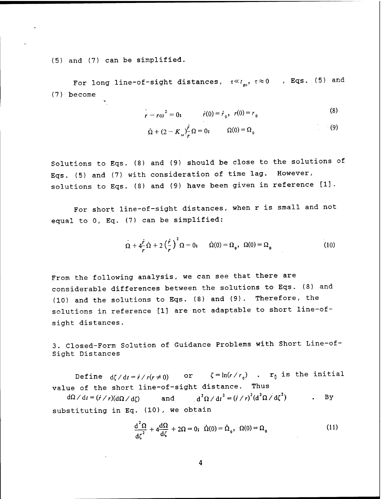(5) and (7) can be simplified.

For long line-of-sight distances,  $\tau \ll t_{so}$ ,  $\tau \approx 0$  , Eqs. (5) and (7) become

$$
\dot{r} - r\omega^2 = 0; \qquad \dot{r}(0) = \dot{r}_0, \quad r(0) = r_0 \tag{8}
$$

$$
\dot{\Omega} + (2 - K_{\omega})\frac{\dot{r}}{r}\Omega = 0; \qquad \Omega(0) = \Omega_0 \tag{9}
$$

Solutions to Eqs. (8) and (9) should be close to the solutions of Eqs. (5) and (7) with consideration of time lag. However, solutions to Eqs. (8) and (9) have been given in reference [1].

For short line-of-sight distances, when r is small and not equal to 0, Eq. (7) can be simplified:

$$
\Omega + 4\frac{\dot{r}}{r}\dot{\Omega} + 2\left(\frac{\dot{r}}{r}\right)^2 \Omega = 0; \qquad \dot{\Omega}(0) = \Omega_0, \quad \Omega(0) = \Omega_0 \tag{10}
$$

From the following analysis, we can see that there are considerable differences between the solutions to Eqs. (8) and (10) and the solutions to Eqs. (8) and (9). Therefore, the solutions in reference [1] are not adaptable to short line-ofsight distances.

3. Closed-Form Solution of Guidance Problems with Short Line-of-Sight Distances

Define  $d\zeta/dt = \dot{r} / r(r \neq 0)$  or  $\zeta = \ln(r / r_0)$  .  $r_0$  is the initial value of the short line-of-sight distance. Thus

 $d\Omega/dt = (\dot{r} / r)(d\Omega / d\zeta)$  and  $d^2\Omega / dt^2 = (\dot{r} / r)^2 (d^2\Omega / d\zeta^2)$  . By substituting in Eq. (10), we obtain

$$
\frac{d^2\Omega}{d\zeta^2} + 4\frac{d\Omega}{d\zeta} + 2\Omega = 0; \ \dot{\Omega}(0) = \dot{\Omega}_0, \ \Omega(0) = \Omega_0 \tag{11}
$$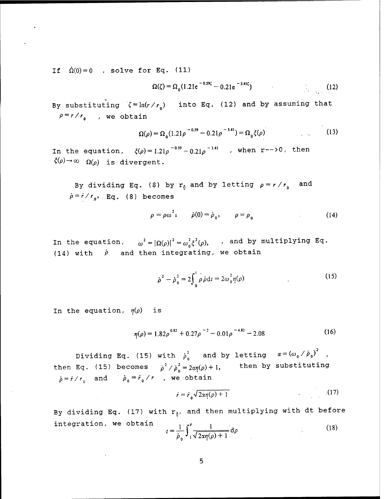If  $\dot{\Omega}(0) = 0$  , solve for Eq. (11)

$$
\Omega(\zeta) = \Omega_0 (1.21 e^{-0.59 \zeta} - 0.21 e^{-3.41 \zeta}) \tag{12}
$$

By substituting  $\zeta = \ln(r/r_0)$  into Eq. (12) and by assuming that  $\rho = r / r_{0}$ , we obtain

$$
\Omega(\rho) = \Omega_0 (1.21 \rho^{-0.59} - 0.21 \rho^{-3.41}) = \Omega_0 \xi(\rho)
$$
 (13)

In the equation,  $\zeta(\rho)=1.21\rho^{-0.59}-0.21\rho^{-3.41}$  , when r-->0, then  $\zeta(\rho) \rightarrow \infty$   $\Omega(\rho)$  is divergent.

By dividing Eq. (8) by  $r_0$  and by letting  $\rho = r/r_0$  and  $\dot{\rho}$  =  $\dot{r}$  /  $r_0$ , Eq. (8) becomes

$$
\rho = \rho \omega^2; \qquad \dot{\rho}(0) = \dot{\rho}_0, \qquad \rho = \rho_0 \tag{14}
$$

In the equation,  $\omega^2 = |\Omega(\rho)|^2 = \omega_o^2 \xi^2(\rho)$ , , and by multiplying Eq. (14) with  $\dot{\rho}$  and then integrating, we obtain

$$
\dot{\rho}^2 - \dot{\rho}_0^2 = 2 \int_0^t \rho \dot{\rho} dt = 2\omega_0^2 \eta(\rho)
$$
 (15)

In the equation,  $\eta(\rho)$  is

$$
\eta(\rho) = 1.82\rho^{0.82} + 0.27\rho^{-2} - 0.01\rho^{-4.82} - 2.08\tag{16}
$$

Dividing Eq. (15) with  $\dot{p}_0^2$  and by letting  $\alpha = (\omega_0 / \dot{p}_0)^2$ , then Eq. (15) becomes  $\dot{\rho}^2$ th<br> $\frac{1}{\sqrt{p}}$  $\frac{2}{\rho}$   $\frac{\dot{\rho}^2}{\dot{\rho}_0^2}$   $\frac{1}{\rho}$   $\frac{1}{\rho}$   $\frac{1}{\rho}$   $\frac{1}{\rho}$   $\frac{1}{\rho}$  $\begin{aligned} \mathcal{L} &= 2\alpha\eta(\rho)+1, \end{aligned}$  then by substituting  $\dot{\rho} = \dot{r} / r_0$  and  $\dot{\rho}_0 = \dot{r}_0 / r$  , we obtain

$$
\dot{r} = \dot{r}_0 \sqrt{2\pi \eta(\rho) + 1} \tag{17}
$$

By dividing Eq. (17) with  $r_{0}$ , and then multiplying with dt before  $\iota = \frac{1}{\dot{\rho}_0} \int_{1}^{\nu} \frac{1}{\sqrt{2\alpha\eta(\rho)+1}} d\rho$ integration, we obtain  $\frac{1}{2} \int_{0}^{p} \frac{1}{\sqrt{1 - a^2}} da$  (18)

$$
\mathbf{5}^{\prime}
$$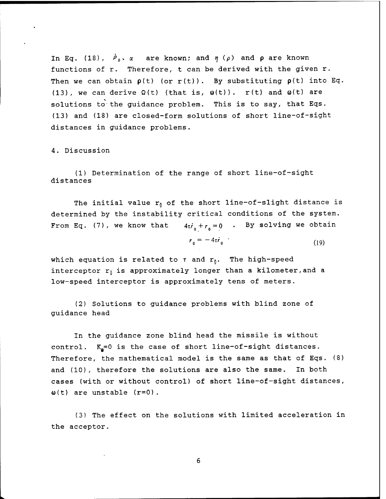In Eq. (18),  $\dot{P}_{0} \times \alpha$  are known; and  $\eta$  ( $\rho$ ) and  $\rho$  are known functions of r. Therefore, t can be derived with the given r. Then we can obtain  $p(t)$  (or  $r(t)$ ). By substituting  $p(t)$  into Eq. (13), we can derive  $\Omega(t)$  (that is,  $\omega(t)$ ). r(t) and  $\omega(t)$  are solutions to the guidance problem. This is to say, that Eqs. (13) and (18) are closed-form solutions of short line-of-sight distances in guidance problems.

4. Discussion

(1) Determination of the range of short line-of-sight distances

The initial value  $r_0$  of the short line-of-slight distance is determined by the instability critical conditions of the system. From Eq. (7), we know that  $4\tau i_0 + r_0 = 0$  . By solving we obtain

$$
r_0 = -4\tau \dot{r}_0 \tag{19}
$$

which equation is related to  $\tau$  and  $r_0$ . The high-speed interceptor  $r_0$  is approximately longer than a kilometer, and a low-speed interceptor is approximately tens of meters.

(2) Solutions to guidance problems with blind zone of guidance head

In the guidance zone blind head the missile is without control.  $K_a=0$  is the case of short line-of-sight distances. Therefore, the mathematical model is the same as that of Eqs. (8) and (10), therefore the solutions are also the same. In both cases (with or without control) of short line-of-sight distances,  $\omega(t)$  are unstable  $(r=0)$ .

(3) The effect on the solutions with limited acceleration in the acceptor.

6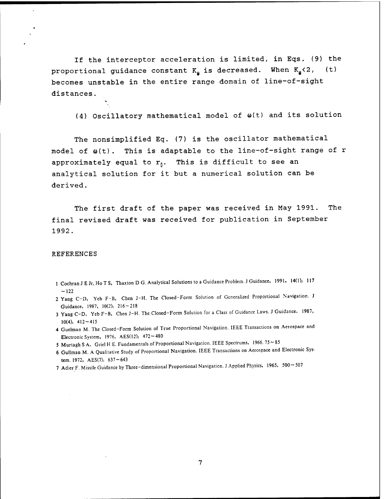If the interceptor acceleration is limited, in Eqs. (9) the proportional guidance constant  $K_{\mathbf{a}}$  is decreased. When  $K_{\mathbf{a}}$ <2, (t) becomes unstable in the entire range domain of line-of-sight distances.

 $(4)$  Oscillatory mathematical model of  $\omega(t)$  and its solution

The nonsimplified Eq. (7) is the oscillator mathematical model of  $\omega(t)$ . This is adaptable to the line-of-sight range of r approximately equal to  $r_0$ . This is difficult to see an analytical solution for it but a numerical solution can be derived.

The first draft of the paper was received in May 1991. The final revised draft was received for publication in September 1992.

#### REFERENCES

s

- <sup>1</sup> Cochran J E Jr, Ho T S, Thaxton D G. Analytical Solutions to a Guidance Problem. J Guidance, 1991, 14(1): 117  $-122$
- 2 Yang C-D, Yeb F-B, Chen J-H. The Closed-Form Solution of Generalized Proportional Navigation. J Guidance, 1987, 10(2):  $216 - 218$
- <sup>3</sup> Yang C-D, Yeb F-B, Chen J-H. The Closed-Form Solution for <sup>a</sup> Class of Guidance Laws. J Guidance. 1987, 10(4):  $412 - 415$
- 4 Guelman M. The Closed-Form Solution of True Proportional Navigation. IEEE Transactions on Aerospace and Electronic System, 1976, AES(12):  $472 \sim 480$
- 5 Murtagh S A, Griel H E. Fundamentals of Proportional Navigation. IEEE Spectrums, 1966. 75~85
- 6 Gullman M. A Qualitative Study of Proportional Navigation. IEEE Transactions on Aerospace and Electronic System. 1972, AES(7):  $637 - 643$
- 7 Adier F. Missile Guidance by Three-dimensional Proportional Navigation. J Applied Physics, 1965, 500~507